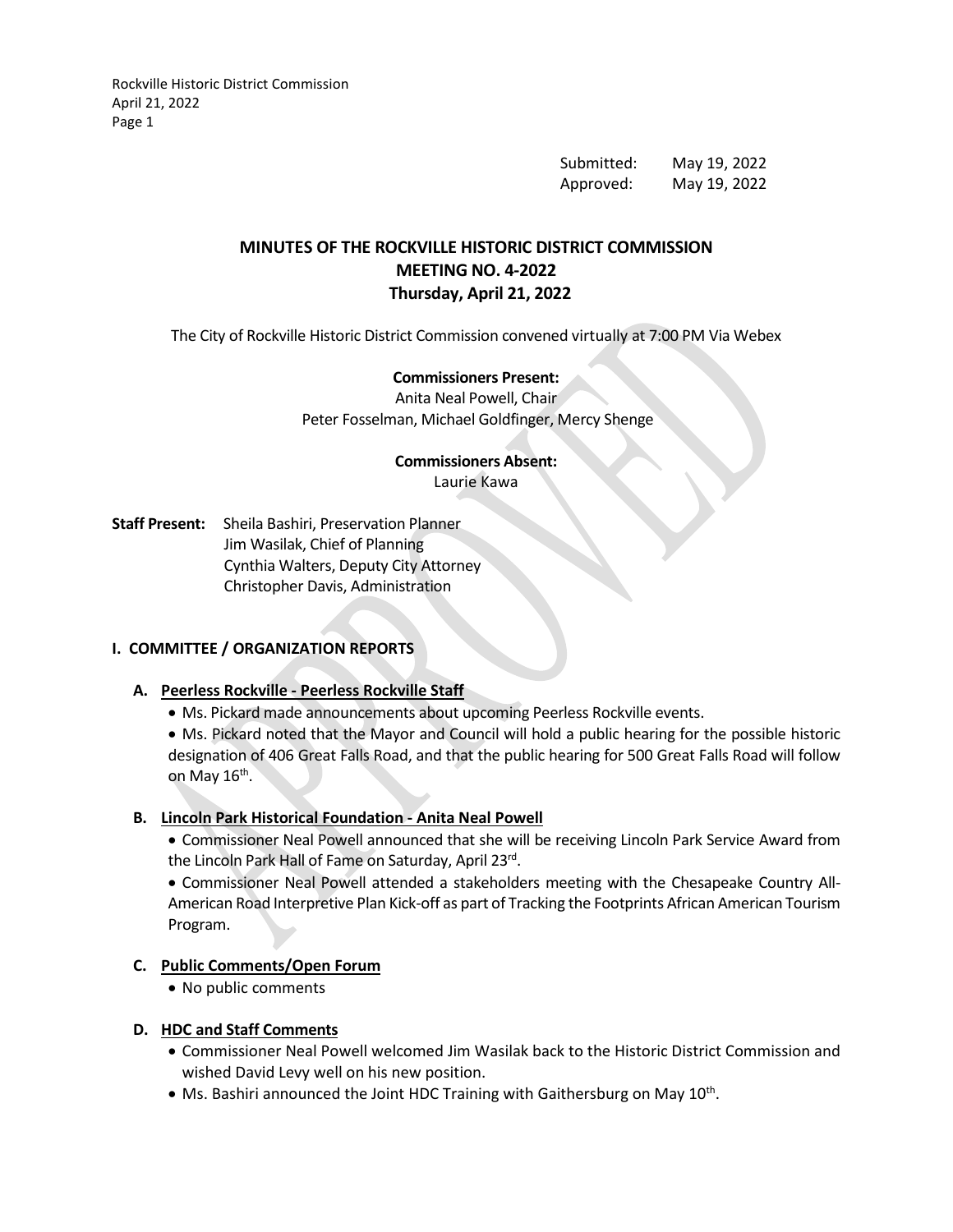Rockville Historic District Commission April 21, 2022 Page 1

> Submitted: May 19, 2022 Approved: May 19, 2022

# **MINUTES OF THE ROCKVILLE HISTORIC DISTRICT COMMISSION MEETING NO. 4-2022 Thursday, April 21, 2022**

The City of Rockville Historic District Commission convened virtually at 7:00 PM Via Webex

## **Commissioners Present:**

Anita Neal Powell, Chair Peter Fosselman, Michael Goldfinger, Mercy Shenge

# **Commissioners Absent:**

Laurie Kawa

**Staff Present:** Sheila Bashiri, Preservation Planner Jim Wasilak, Chief of Planning Cynthia Walters, Deputy City Attorney Christopher Davis, Administration

## **I. COMMITTEE / ORGANIZATION REPORTS**

## **A. Peerless Rockville - Peerless Rockville Staff**

• Ms. Pickard made announcements about upcoming Peerless Rockville events.

• Ms. Pickard noted that the Mayor and Council will hold a public hearing for the possible historic designation of 406 Great Falls Road, and that the public hearing for 500 Great Falls Road will follow on May  $16<sup>th</sup>$ .

#### **B. Lincoln Park Historical Foundation - Anita Neal Powell**

• Commissioner Neal Powell announced that she will be receiving Lincoln Park Service Award from the Lincoln Park Hall of Fame on Saturday, April 23rd.

• Commissioner Neal Powell attended a stakeholders meeting with the Chesapeake Country All-American Road Interpretive Plan Kick-off as part of Tracking the Footprints African American Tourism Program.

## **C. Public Comments/Open Forum**

• No public comments

#### **D. HDC and Staff Comments**

- Commissioner Neal Powell welcomed Jim Wasilak back to the Historic District Commission and wished David Levy well on his new position.
- Ms. Bashiri announced the Joint HDC Training with Gaithersburg on May 10<sup>th</sup>.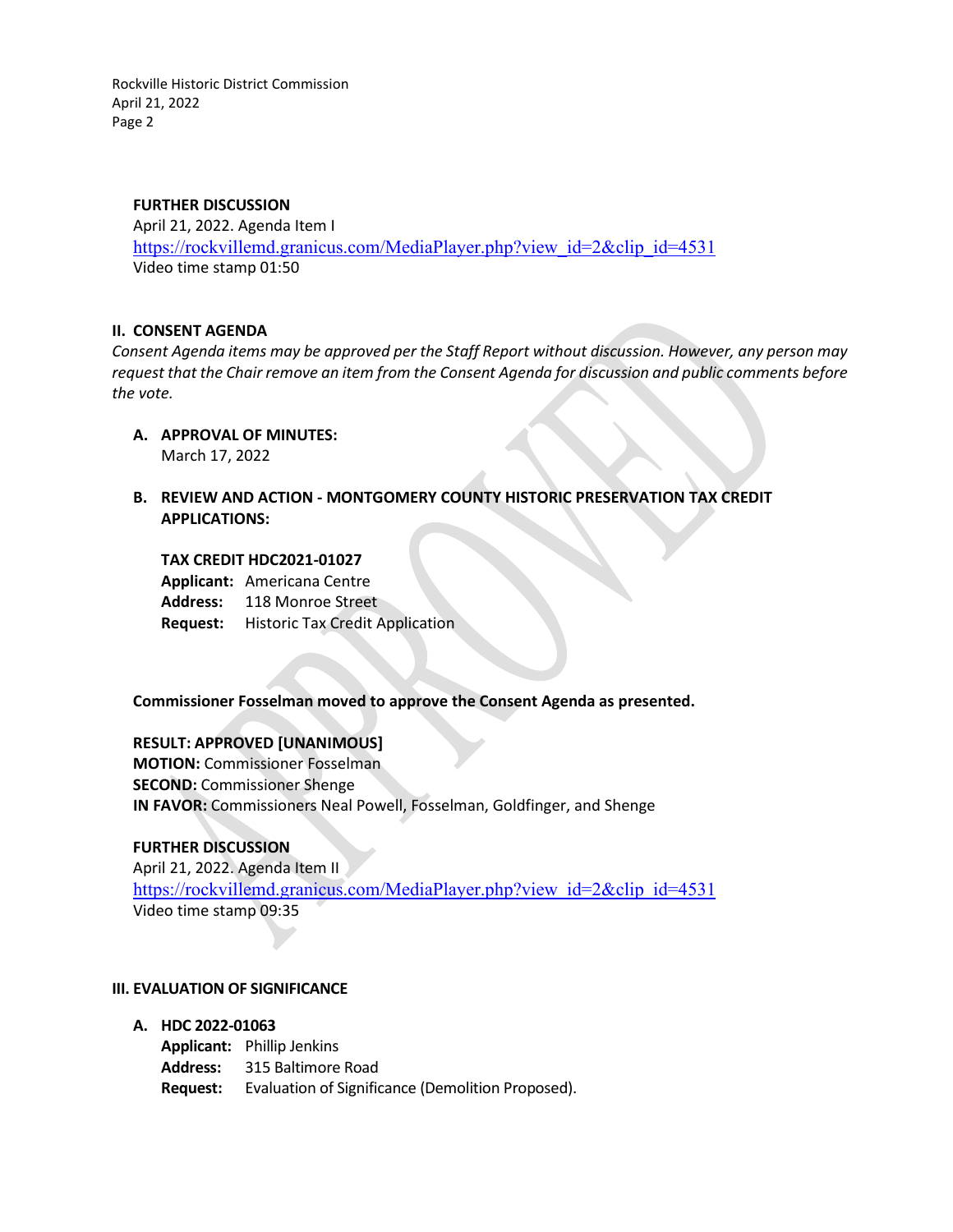Rockville Historic District Commission April 21, 2022 Page 2

#### **FURTHER DISCUSSION**

April 21, 2022. Agenda Item I [https://rockvillemd.granicus.com/MediaPlayer.php?view\\_id=2&clip\\_id=4531](https://rockvillemd.granicus.com/MediaPlayer.php?view_id=2&clip_id=4531) Video time stamp 01:50

#### **II. CONSENT AGENDA**

*Consent Agenda items may be approved per the Staff Report without discussion. However, any person may request that the Chair remove an item from the Consent Agenda for discussion and public comments before the vote.*

- **A. APPROVAL OF MINUTES:** March 17, 2022
- **B. REVIEW AND ACTION - MONTGOMERY COUNTY HISTORIC PRESERVATION TAX CREDIT APPLICATIONS:**

#### **TAX CREDIT HDC2021-01027**

**Applicant:** Americana Centre **Address:** 118 Monroe Street **Request:** Historic Tax Credit Application

## **Commissioner Fosselman moved to approve the Consent Agenda as presented.**

## **RESULT: APPROVED [UNANIMOUS]**

**MOTION:** Commissioner Fosselman **SECOND:** Commissioner Shenge **IN FAVOR:** Commissioners Neal Powell, Fosselman, Goldfinger, and Shenge

## **FURTHER DISCUSSION**

April 21, 2022. Agenda Item II [https://rockvillemd.granicus.com/MediaPlayer.php?view\\_id=2&clip\\_id=4531](https://rockvillemd.granicus.com/MediaPlayer.php?view_id=2&clip_id=4531) Video time stamp 09:35

#### **III. EVALUATION OF SIGNIFICANCE**

**A. HDC 2022-01063**

**Applicant:** Phillip Jenkins **Address:** 315 Baltimore Road **Request:** Evaluation of Significance (Demolition Proposed).